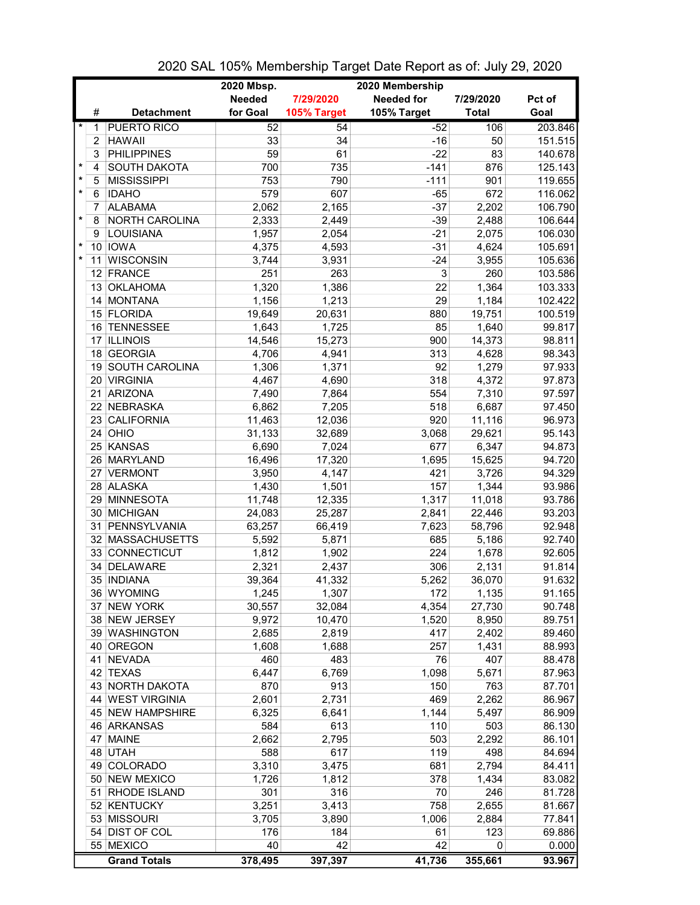|         |    |                     | 2020 Mbsp.    |             | 2020 Membership   |              |         |
|---------|----|---------------------|---------------|-------------|-------------------|--------------|---------|
|         |    |                     | <b>Needed</b> | 7/29/2020   | <b>Needed for</b> | 7/29/2020    | Pct of  |
|         | #  | <b>Detachment</b>   | for Goal      | 105% Target | 105% Target       | <b>Total</b> | Goal    |
| $\ast$  | 1  | <b>PUERTO RICO</b>  | 52            | 54          | $-52$             | 106          | 203.846 |
|         | 2  | <b>HAWAII</b>       | 33            | 34          | $-16$             | 50           | 151.515 |
|         | 3  | <b>PHILIPPINES</b>  | 59            | 61          | $-22$             | 83           | 140.678 |
| $\ast$  | 4  | SOUTH DAKOTA        | 700           | 735         | $-141$            | 876          | 125.143 |
| $\star$ | 5  | <b>MISSISSIPPI</b>  | 753           | 790         | $-111$            | 901          | 119.655 |
| $\star$ | 6  | <b>IDAHO</b>        | 579           | 607         | $-65$             | 672          | 116.062 |
|         | 7  | <b>ALABAMA</b>      | 2,062         | 2,165       | $-37$             | 2,202        | 106.790 |
| $\star$ | 8  | NORTH CAROLINA      | 2,333         | 2,449       | $-39$             | 2,488        | 106.644 |
|         | 9  | LOUISIANA           | 1,957         | 2,054       | $-21$             | 2,075        | 106.030 |
| $\star$ |    | 10 IOWA             | 4,375         | 4,593       | $-31$             | 4,624        | 105.691 |
| $\star$ | 11 | <b>WISCONSIN</b>    | 3,744         | 3,931       | $-24$             | 3,955        | 105.636 |
|         |    | 12 FRANCE           | 251           | 263         | 3                 | 260          | 103.586 |
|         |    | 13 OKLAHOMA         | 1,320         | 1,386       | 22                | 1,364        | 103.333 |
|         |    | 14 MONTANA          | 1,156         | 1,213       | 29                | 1,184        | 102.422 |
|         |    | 15 FLORIDA          | 19,649        | 20,631      | 880               | 19,751       | 100.519 |
|         |    | 16 TENNESSEE        | 1,643         | 1,725       | 85                | 1,640        | 99.817  |
|         |    | 17 ILLINOIS         | 14,546        | 15,273      | 900               | 14,373       | 98.811  |
|         |    | 18 GEORGIA          | 4,706         | 4,941       | 313               | 4,628        | 98.343  |
|         |    | 19 SOUTH CAROLINA   | 1,306         | 1,371       | 92                | 1,279        | 97.933  |
|         |    | 20 VIRGINIA         | 4,467         | 4,690       | 318               | 4,372        | 97.873  |
|         | 21 | ARIZONA             | 7,490         | 7,864       | 554               | 7,310        | 97.597  |
|         |    | 22 NEBRASKA         | 6,862         | 7,205       | 518               | 6,687        | 97.450  |
|         | 23 | <b>CALIFORNIA</b>   | 11,463        | 12,036      | 920               | 11,116       | 96.973  |
|         |    | 24 OHIO             | 31,133        | 32,689      | 3,068             | 29,621       | 95.143  |
|         |    | 25 KANSAS           | 6,690         | 7,024       | 677               | 6,347        | 94.873  |
|         |    | 26 MARYLAND         | 16,496        | 17,320      | 1,695             | 15,625       | 94.720  |
|         |    | 27 VERMONT          | 3,950         | 4,147       | 421               | 3,726        | 94.329  |
|         |    | 28 ALASKA           | 1,430         | 1,501       | 157               | 1,344        | 93.986  |
|         |    | 29 MINNESOTA        | 11,748        | 12,335      | 1,317             | 11,018       | 93.786  |
|         |    | 30 MICHIGAN         | 24,083        | 25,287      | 2,841             | 22,446       | 93.203  |
|         |    | 31 PENNSYLVANIA     | 63,257        | 66,419      | 7,623             | 58,796       | 92.948  |
|         |    | 32 MASSACHUSETTS    | 5,592         | 5,871       | 685               | 5,186        | 92.740  |
|         |    | 33 CONNECTICUT      | 1,812         | 1,902       | 224               | 1,678        | 92.605  |
|         |    | 34 DELAWARE         | 2,321         | 2,437       | 306               | 2,131        | 91.814  |
|         |    | 35 INDIANA          | 39,364        | 41,332      | 5,262             | 36,070       | 91.632  |
|         |    | 36 WYOMING          | 1,245         | 1,307       | 172               | 1,135        | 91.165  |
|         |    | 37 NEW YORK         | 30,557        | 32,084      | 4,354             | 27,730       | 90.748  |
|         |    | 38 NEW JERSEY       | 9,972         | 10,470      | 1,520             | 8,950        | 89.751  |
|         |    | 39 WASHINGTON       | 2,685         | 2,819       | 417               | 2,402        | 89.460  |
|         |    | 40 OREGON           | 1,608         | 1,688       | 257               | 1,431        | 88.993  |
|         | 41 | <b>NEVADA</b>       | 460           | 483         | 76                | 407          | 88.478  |
|         |    | 42 TEXAS            | 6,447         | 6,769       | 1,098             | 5,671        | 87.963  |
|         |    | 43 NORTH DAKOTA     | 870           | 913         | 150               | 763          | 87.701  |
|         |    | 44 WEST VIRGINIA    | 2,601         | 2,731       | 469               | 2,262        | 86.967  |
|         |    | 45 NEW HAMPSHIRE    | 6,325         | 6,641       | 1,144             | 5,497        | 86.909  |
|         |    | 46 ARKANSAS         | 584           | 613         | 110               | 503          | 86.130  |
|         |    | 47 MAINE            | 2,662         | 2,795       | 503               | 2,292        | 86.101  |
|         |    | 48 UTAH             | 588           | 617         | 119               | 498          | 84.694  |
|         |    | 49 COLORADO         | 3,310         | 3,475       | 681               | 2,794        | 84.411  |
|         |    | 50 NEW MEXICO       | 1,726         | 1,812       | 378               | 1,434        | 83.082  |
|         |    | 51 RHODE ISLAND     | 301           | 316         | 70                | 246          | 81.728  |
|         |    | 52 KENTUCKY         | 3,251         | 3,413       | 758               | 2,655        | 81.667  |
|         |    | 53 MISSOURI         | 3,705         | 3,890       | 1,006             | 2,884        | 77.841  |
|         |    | 54 DIST OF COL      | 176           | 184         | 61                | 123          | 69.886  |
|         |    | 55 MEXICO           | 40            | 42          | 42                | 0            | 0.000   |
|         |    | <b>Grand Totals</b> | 378,495       | 397,397     | 41,736            | 355,661      | 93.967  |

2020 SAL 105% Membership Target Date Report as of: July 29, 2020